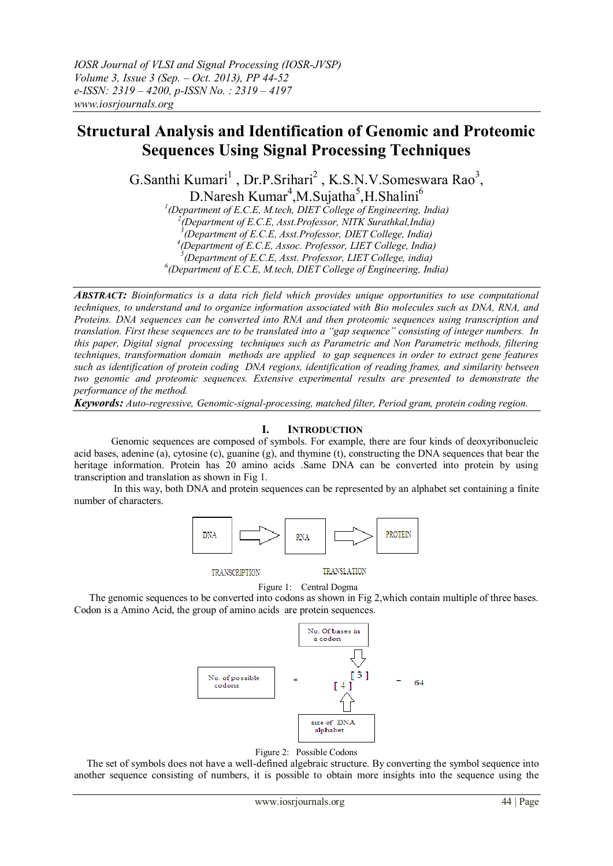# **Structural Analysis and Identification of Genomic and Proteomic Sequences Using Signal Processing Techniques**

G.Santhi Kumari<sup>1</sup>, Dr.P.Srihari<sup>2</sup>, K.S.N.V.Someswara Rao<sup>3</sup>, D.Naresh Kumar<sup>4</sup>,M.Sujatha<sup>5</sup>,H.Shalini<sup>6</sup>

*1 (Department of E.C.E, M.tech, DIET College of Engineering, India) 2 (Department of E.C.E, Asst.Professor, NITK Surathkal,India) 3 (Department of E.C.E, Asst.Professor, DIET College, India) 4 (Department of E.C.E, Assoc. Professor, LIET College, India)*

*5 (Department of E.C.E, Asst. Professor, LIET College, india)*

*6 (Department of E.C.E, M.tech, DIET College of Engineering, India)*

*ABSTRACT: Bioinformatics is a data rich field which provides unique opportunities to use computational techniques, to understand and to organize information associated with Bio molecules such as DNA, RNA, and Proteins. DNA sequences can be converted into RNA and then proteomic sequences using transcription and translation. First these sequences are to be translated into a "gap sequence" consisting of integer numbers. In this paper, Digital signal processing techniques such as Parametric and Non Parametric methods, filtering techniques, transformation domain methods are applied to gap sequences in order to extract gene features such as identification of protein coding DNA regions, identification of reading frames, and similarity between two genomic and proteomic sequences. Extensive experimental results are presented to demonstrate the performance of the method.*

*Keywords: Auto-regressive, Genomic-signal-processing, matched filter, Period gram, protein coding region.* 

# **I. INTRODUCTION**

Genomic sequences are composed of symbols. For example, there are four kinds of deoxyribonucleic acid bases, adenine (a), cytosine (c), guanine (g), and thymine (t), constructing the DNA sequences that bear the heritage information. Protein has 20 amino acids .Same DNA can be converted into protein by using transcription and translation as shown in Fig 1.

 In this way, both DNA and protein sequences can be represented by an alphabet set containing a finite number of characters.



**TRANSCRIPTION** 

**TRANSLATION** 

Figure 1:Central Dogma

 The genomic sequences to be converted into codons as shown in Fig 2,which contain multiple of three bases. Codon is a Amino Acid, the group of amino acids are protein sequences.





The set of symbols does not have a well-defined algebraic structure. By converting the symbol sequence into another sequence consisting of numbers, it is possible to obtain more insights into the sequence using the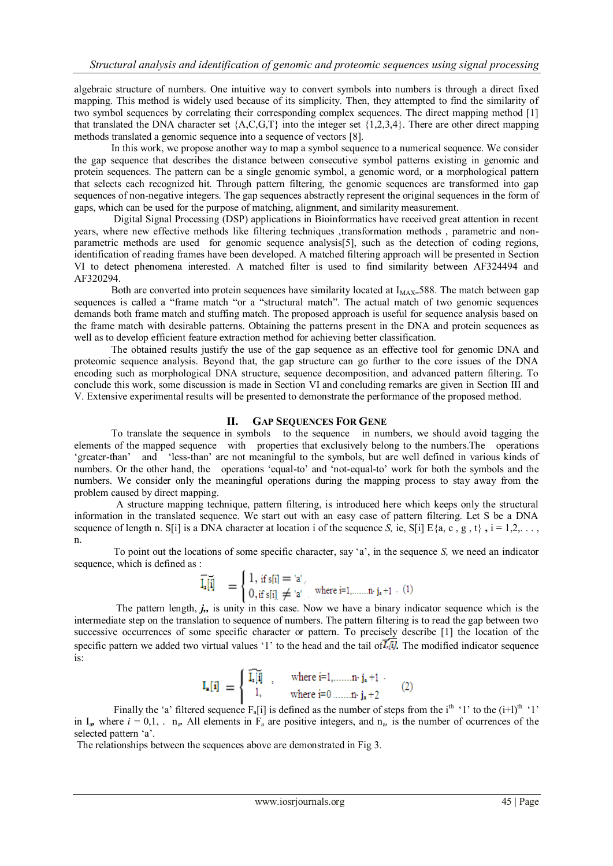algebraic structure of numbers. One intuitive way to convert symbols into numbers is through a direct fixed mapping. This method is widely used because of its simplicity. Then, they attempted to find the similarity of two symbol sequences by correlating their corresponding complex sequences. The direct mapping method [1] that translated the DNA character set  ${A, C, G, T}$  into the integer set  ${1,2,3,4}$ . There are other direct mapping methods translated a genomic sequence into a sequence of vectors [8].

 In this work, we propose another way to map a symbol sequence to a numerical sequence. We consider the gap sequence that describes the distance between consecutive symbol patterns existing in genomic and protein sequences. The pattern can be a single genomic symbol, a genomic word, or **a** morphological pattern that selects each recognized hit. Through pattern filtering, the genomic sequences are transformed into gap sequences of non-negative integers. The gap sequences abstractly represent the original sequences in the form of gaps, which can be used for the purpose of matching, alignment, and similarity measurement.

 Digital Signal Processing (DSP) applications in Bioinformatics have received great attention in recent years, where new effective methods like filtering techniques transformation methods , parametric and nonparametric methods are used for genomic sequence analysis[5], such as the detection of coding regions, identification of reading frames have been developed. A matched filtering approach will be presented in Section VI to detect phenomena interested. A matched filter is used to find similarity between AF324494 and AF320294.

Both are converted into protein sequences have similarity located at I<sub>MAX=</sub>588. The match between gap sequences is called a "frame match "or a "structural match". The actual match of two genomic sequences demands both frame match and stuffing match. The proposed approach is useful for sequence analysis based on the frame match with desirable patterns. Obtaining the patterns present in the DNA and protein sequences as well as to develop efficient feature extraction method for achieving better classification.

 The obtained results justify the use of the gap sequence as an effective tool for genomic DNA and proteomic sequence analysis. Beyond that, the gap structure can go further to the core issues of the DNA encoding such as morphological DNA structure, sequence decomposition, and advanced pattern filtering. To conclude this work, some discussion is made in Section VI and concluding remarks are given in Section III and V. Extensive experimental results will be presented to demonstrate the performance of the proposed method.

# **II. GAP SEQUENCES FOR GENE**

To translate the sequence in symbols to the sequence in numbers, we should avoid tagging the elements of the mapped sequence with properties that exclusively belong to the numbers. The operations 'greater-than' and 'less-than' are not meaningful to the symbols, but are well defined in various kinds of and 'less-than' are not meaningful to the symbols, but are well defined in various kinds of numbers. Or the other hand, the operations 'equal-to' and 'not-equal-to' work for both the symbols and the numbers. We consider only the meaningful operations during the mapping process to stay away from the problem caused by direct mapping.

 A structure mapping technique, pattern filtering, is introduced here which keeps only the structural information in the translated sequence. We start out with an easy case of pattern filtering. Let S be a DNA sequence of length n. S[i] is a DNA character at location i of the sequence *S*, ie, S[i] E{a, c, g, t},  $i = 1,2,...,$ n.

 To point out the locations of some specific character, say "a", in the sequence *S,* we need an indicator sequence, which is defined as :

$$
\overline{\vec{l}_{a}[\vec{l}]} = \begin{cases} 1, \text{ if } s[i] = 'a', \\ 0, \text{ if } s[i] \neq 'a', \text{ where } i=1,\dots,n \cdot j_{a}+1 \end{cases} (1)
$$

 The pattern length, *j,,* is unity in this case. Now we have a binary indicator sequence which is the intermediate step on the translation to sequence of numbers. The pattern filtering is to read the gap between two successive occurrences of some specific character or pattern. To precisely describe [1] the location of the specific pattern we added two virtual values '1' to the head and the tail of  $\overline{I_1}$ . The modified indicator sequence is:

$$
\mathbf{I}_{\bullet}[\mathbf{i}] = \begin{cases} \widetilde{\mathbf{I}_{\bullet}[\mathbf{i}]} & , \quad \text{where } \mathbf{i} = 1, \dots, n \cdot \mathbf{j}_{\mathbf{a}} + 1 \\ 1, & \text{where } \mathbf{i} = 0 \dots, n \cdot \mathbf{j}_{\mathbf{a}} + 2 \end{cases} \qquad (2)
$$

Finally the 'a' filtered sequence  $F_a[i]$  is defined as the number of steps from the i<sup>th</sup> '1' to the  $(i+1)$ <sup>th</sup> '1' in  $I_a$ , where  $i = 0,1, \ldots, n_a$ . All elements in  $F_a$  are positive integers, and  $n_a$ , is the number of ocurrences of the selected pattern 'a'.

The relationships between the sequences above are demonstrated in Fig 3.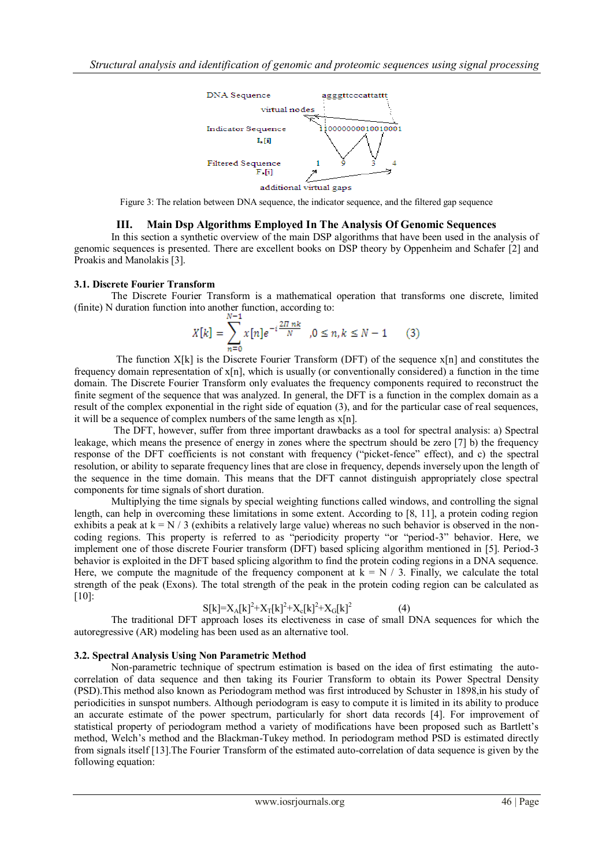

Figure 3: The relation between DNA sequence, the indicator sequence, and the filtered gap sequence

# **III. Main Dsp Algorithms Employed In The Analysis Of Genomic Sequences**

In this section a synthetic overview of the main DSP algorithms that have been used in the analysis of genomic sequences is presented. There are excellent books on DSP theory by Oppenheim and Schafer [2] and Proakis and Manolakis [3].

## **3.1. Discrete Fourier Transform**

The Discrete Fourier Transform is a mathematical operation that transforms one discrete, limited (finite) N duration function into another function, according to:

$$
X[k] = \sum_{n=0}^{N-1} x[n]e^{-i\frac{2\pi nk}{N}}, 0 \le n, k \le N-1
$$
 (3)

The function  $X[k]$  is the Discrete Fourier Transform (DFT) of the sequence  $x[n]$  and constitutes the frequency domain representation of x[n], which is usually (or conventionally considered) a function in the time domain. The Discrete Fourier Transform only evaluates the frequency components required to reconstruct the finite segment of the sequence that was analyzed. In general, the DFT is a function in the complex domain as a result of the complex exponential in the right side of equation (3), and for the particular case of real sequences, it will be a sequence of complex numbers of the same length as  $x[n]$ .

 The DFT, however, suffer from three important drawbacks as a tool for spectral analysis: a) Spectral leakage, which means the presence of energy in zones where the spectrum should be zero [7] b) the frequency response of the DFT coefficients is not constant with frequency ("picket-fence" effect), and c) the spectral resolution, or ability to separate frequency lines that are close in frequency, depends inversely upon the length of the sequence in the time domain. This means that the DFT cannot distinguish appropriately close spectral components for time signals of short duration.

 Multiplying the time signals by special weighting functions called windows, and controlling the signal length, can help in overcoming these limitations in some extent. According to [8, 11], a protein coding region exhibits a peak at  $k = N / 3$  (exhibits a relatively large value) whereas no such behavior is observed in the noncoding regions. This property is referred to as "periodicity property "or "period-3" behavior. Here, we implement one of those discrete Fourier transform (DFT) based splicing algorithm mentioned in [5]. Period-3 behavior is exploited in the DFT based splicing algorithm to find the protein coding regions in a DNA sequence. Here, we compute the magnitude of the frequency component at  $k = N / 3$ . Finally, we calculate the total strength of the peak (Exons). The total strength of the peak in the protein coding region can be calculated as [10]:

$$
S[k] = X_A[k]^2 + X_T[k]^2 + X_c[k]^2 + X_G[k]^2 \tag{4}
$$

 The traditional DFT approach loses its electiveness in case of small DNA sequences for which the autoregressive (AR) modeling has been used as an alternative tool.

## **3.2. Spectral Analysis Using Non Parametric Method**

Non-parametric technique of spectrum estimation is based on the idea of first estimating the autocorrelation of data sequence and then taking its Fourier Transform to obtain its Power Spectral Density (PSD).This method also known as Periodogram method was first introduced by Schuster in 1898,in his study of periodicities in sunspot numbers. Although periodogram is easy to compute it is limited in its ability to produce an accurate estimate of the power spectrum, particularly for short data records [4]. For improvement of statistical property of periodogram method a variety of modifications have been proposed such as Bartlett"s method, Welch"s method and the Blackman-Tukey method. In periodogram method PSD is estimated directly from signals itself [13].The Fourier Transform of the estimated auto-correlation of data sequence is given by the following equation: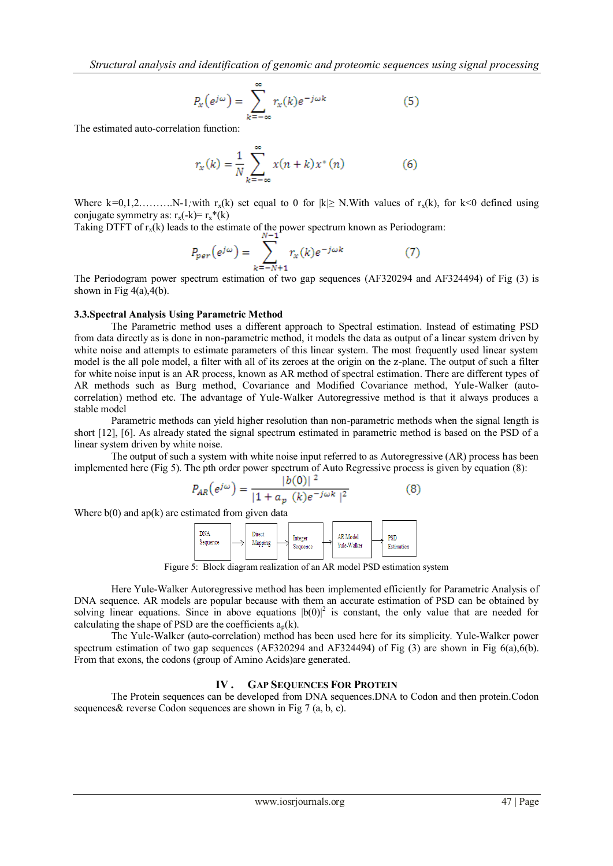*Structural analysis and identification of genomic and proteomic sequences using signal processing* 

$$
P_{x}(e^{j\omega}) = \sum_{k=-\infty}^{\infty} r_{x}(k)e^{-j\omega k}
$$
 (5)

The estimated auto-correlation function:

$$
r_x(k) = \frac{1}{N} \sum_{k=-\infty}^{\infty} x(n+k) x^*(n)
$$
 (6)

Where  $k=0,1,2,...,...N-1$ *;with*  $r_x(k)$  set equal to 0 for  $|k| \geq N$ . With values of  $r_x(k)$ , for  $k<0$  defined using conjugate symmetry as:  $r_x(-k) = r_x*(k)$ 

Taking DTFT of  $r_x(k)$  leads to the estimate of the power spectrum known as Periodogram:

$$
P_{per}(e^{j\omega}) = \sum_{k=-N+1}^{N} r_{k}(k)e^{-j\omega k}
$$
 (7)

The Periodogram power spectrum estimation of two gap sequences (AF320294 and AF324494) of Fig (3) is shown in Fig  $4(a)$ ,  $4(b)$ .

#### **3.3.Spectral Analysis Using Parametric Method**

The Parametric method uses a different approach to Spectral estimation. Instead of estimating PSD from data directly as is done in non-parametric method, it models the data as output of a linear system driven by white noise and attempts to estimate parameters of this linear system. The most frequently used linear system model is the all pole model, a filter with all of its zeroes at the origin on the z-plane. The output of such a filter for white noise input is an AR process, known as AR method of spectral estimation. There are different types of AR methods such as Burg method, Covariance and Modified Covariance method, Yule-Walker (autocorrelation) method etc. The advantage of Yule-Walker Autoregressive method is that it always produces a stable model

 Parametric methods can yield higher resolution than non-parametric methods when the signal length is short [12], [6]. As already stated the signal spectrum estimated in parametric method is based on the PSD of a linear system driven by white noise.

 The output of such a system with white noise input referred to as Autoregressive (AR) process has been implemented here (Fig 5). The pth order power spectrum of Auto Regressive process is given by equation (8):

$$
P_{AR}\left(e^{j\omega}\right) = \frac{|b(0)|^2}{|1 + a_p(k)e^{-j\omega k}|^2}
$$
 (8)

Where  $b(0)$  and ap(k) are estimated from given data

| DNA<br>Sequence |  | <b>Direct</b><br>Mapping |  | Integer<br>Sequence |  | AR Model<br>Vule-Walker |  | PSD<br>Estimation |  |
|-----------------|--|--------------------------|--|---------------------|--|-------------------------|--|-------------------|--|
|-----------------|--|--------------------------|--|---------------------|--|-------------------------|--|-------------------|--|

Figure 5: Block diagram realization of an AR model PSD estimation system

 Here Yule-Walker Autoregressive method has been implemented efficiently for Parametric Analysis of DNA sequence. AR models are popular because with them an accurate estimation of PSD can be obtained by solving linear equations. Since in above equations  $|b(0)|^2$  is constant, the only value that are needed for calculating the shape of PSD are the coefficients  $a_p(k)$ .

 The Yule-Walker (auto-correlation) method has been used here for its simplicity. Yule-Walker power spectrum estimation of two gap sequences (AF320294 and AF324494) of Fig (3) are shown in Fig 6(a),6(b). From that exons, the codons (group of Amino Acids)are generated.

# **IV . GAP SEQUENCES FOR PROTEIN**

The Protein sequences can be developed from DNA sequences.DNA to Codon and then protein.Codon sequences & reverse Codon sequences are shown in Fig 7 (a, b, c).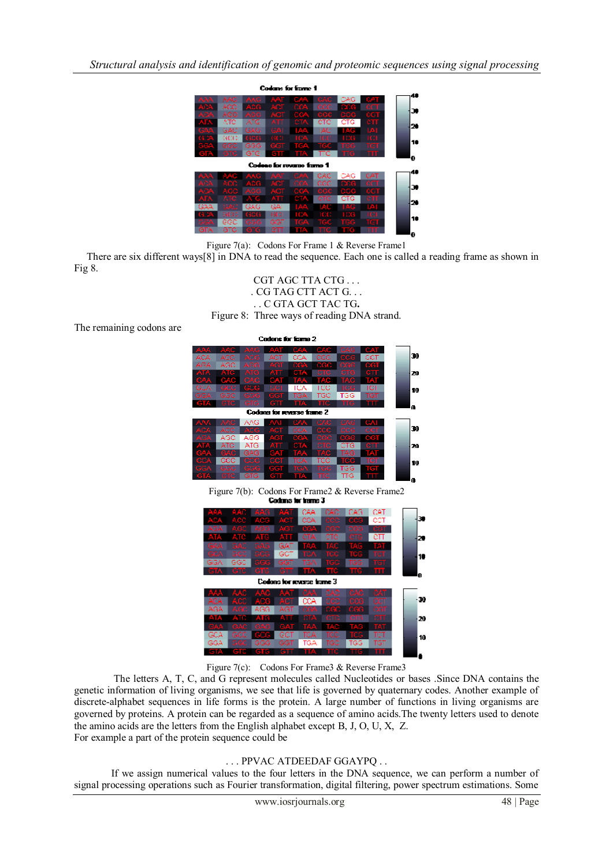

Figure 7(a): Codons For Frame 1 & Reverse Frame1

 There are six different ways[8] in DNA to read the sequence. Each one is called a reading frame as shown in Fig 8.



The remaining codons are





Figure 7(c): Codons For Frame 3 & Reverse Frame 3

 The letters A, T, C, and G represent molecules called Nucleotides or bases .Since DNA contains the genetic information of living organisms, we see that life is governed by quaternary codes. Another example of discrete-alphabet sequences in life forms is the protein. A large number of functions in living organisms are governed by proteins. A protein can be regarded as a sequence of amino acids.The twenty letters used to denote the amino acids are the letters from the English alphabet except B, J, O, U, X, Z. For example a part of the protein sequence could be

# . . . PPVAC ATDEEDAF GGAYPQ . .

 If we assign numerical values to the four letters in the DNA sequence, we can perform a number of signal processing operations such as Fourier transformation, digital filtering, power spectrum estimations. Some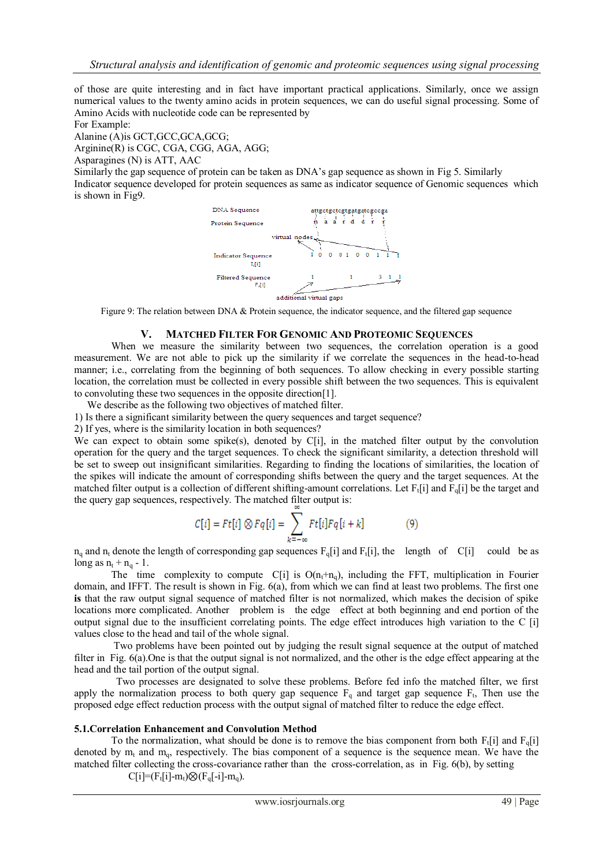of those are quite interesting and in fact have important practical applications. Similarly, once we assign numerical values to the twenty amino acids in protein sequences, we can do useful signal processing. Some of Amino Acids with nucleotide code can be represented by

For Example:

Alanine (A)is GCT,GCC,GCA,GCG;

Arginine(R) is CGC, CGA, CGG, AGA, AGG;

Asparagines (N) is ATT, AAC

Similarly the gap sequence of protein can be taken as DNA"s gap sequence as shown in Fig 5. Similarly

Indicator sequence developed for protein sequences as same as indicator sequence of Genomic sequences which is shown in Fig9.



Figure 9: The relation between DNA & Protein sequence, the indicator sequence, and the filtered gap sequence

## **V. MATCHED FILTER FOR GENOMIC AND PROTEOMIC SEQUENCES**

When we measure the similarity between two sequences, the correlation operation is a good measurement. We are not able to pick up the similarity if we correlate the sequences in the head-to-head manner; i.e., correlating from the beginning of both sequences. To allow checking in every possible starting location, the correlation must be collected in every possible shift between the two sequences. This is equivalent to convoluting these two sequences in the opposite direction[1].

We describe as the following two objectives of matched filter.

1) Is there a significant similarity between the query sequences and target sequence?

2) If yes, where is the similarity location in both sequences?

We can expect to obtain some spike(s), denoted by C[i], in the matched filter output by the convolution operation for the query and the target sequences. To check the significant similarity, a detection threshold will be set to sweep out insignificant similarities. Regarding to finding the locations of similarities, the location of the spikes will indicate the amount of corresponding shifts between the query and the target sequences. At the matched filter output is a collection of different shifting-amount correlations. Let  $F_t[i]$  and  $F_q[i]$  be the target and the query gap sequences, respectively. The matched filter output is:

$$
C[i] = Ft[i] \otimes Fq[i] = \sum_{k=-\infty} Ft[i]Fq[i+k]
$$
 (9)

 $n_q$  and  $n_t$  denote the length of corresponding gap sequences  $F_q[i]$  and  $F_t[i]$ , the length of C[i] could be as long as  $n_t + n_q - 1$ .

The time complexity to compute  $C[i]$  is  $O(n_t+n_q)$ , including the FFT, multiplication in Fourier domain, and IFFT. The result is shown in Fig. 6(a), from which we can find at least two problems. The first one **is** that the raw output signal sequence of matched filter is not normalized, which makes the decision of spike locations more complicated. Another problem is the edge effect at both beginning and end portion of the output signal due to the insufficient correlating points. The edge effect introduces high variation to the C [i] values close to the head and tail of the whole signal.

 Two problems have been pointed out by judging the result signal sequence at the output of matched filter in Fig. 6(a).One is that the output signal is not normalized, and the other is the edge effect appearing at the head and the tail portion of the output signal.

 Two processes are designated to solve these problems. Before fed info the matched filter, we first apply the normalization process to both query gap sequence  $F_q$  and target gap sequence  $F_t$ , Then use the proposed edge effect reduction process with the output signal of matched filter to reduce the edge effect.

## **5.1.Correlation Enhancement and Convolution Method**

To the normalization, what should be done is to remove the bias component from both  $F_t[i]$  and  $F_q[i]$ denoted by  $m_t$  and  $m_q$ , respectively. The bias component of a sequence is the sequence mean. We have the matched filter collecting the cross-covariance rather than the cross-correlation, as in Fig. 6(b), by setting

 $C[i]=[F_t[i]-m_t)\otimes (F_q[i]-m_q).$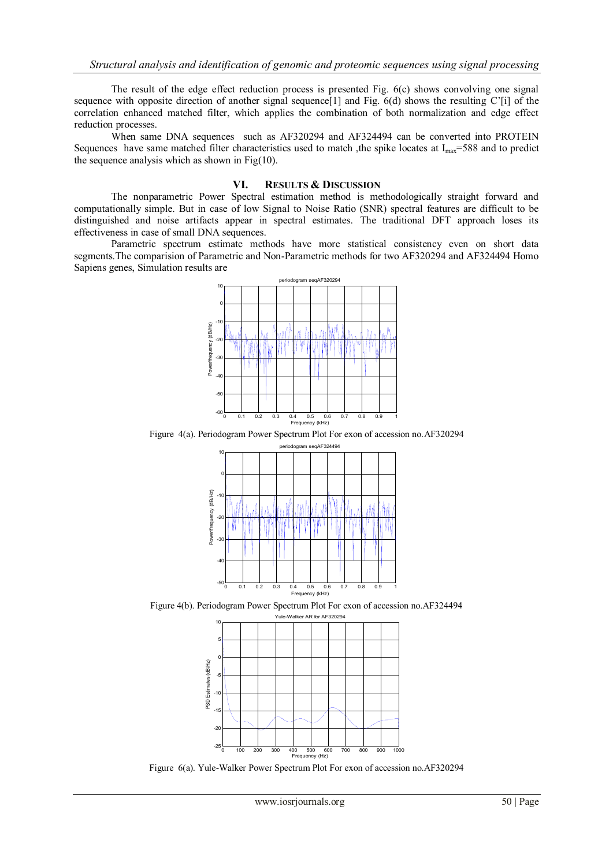The result of the edge effect reduction process is presented Fig. 6(c) shows convolving one signal sequence with opposite direction of another signal sequence[1] and Fig. 6(d) shows the resulting C'[i] of the correlation enhanced matched filter, which applies the combination of both normalization and edge effect reduction processes.

 When same DNA sequences such as AF320294 and AF324494 can be converted into PROTEIN Sequences have same matched filter characteristics used to match, the spike locates at  $I_{\text{max}}$ =588 and to predict the sequence analysis which as shown in  $Fig(10)$ .

# **VI. RESULTS & DISCUSSION**

The nonparametric Power Spectral estimation method is methodologically straight forward and computationally simple. But in case of low Signal to Noise Ratio (SNR) spectral features are difficult to be distinguished and noise artifacts appear in spectral estimates. The traditional DFT approach loses its effectiveness in case of small DNA sequences.

 Parametric spectrum estimate methods have more statistical consistency even on short data segments.The comparision of Parametric and Non-Parametric methods for two AF320294 and AF324494 Homo Sapiens genes, Simulation results are



Figure 4(a). Periodogram Power Spectrum Plot For exon of accession no.AF320294



Figure 4(b). Periodogram Power Spectrum Plot For exon of accession no.AF324494



Figure 6(a). Yule-Walker Power Spectrum Plot For exon of accession no.AF320294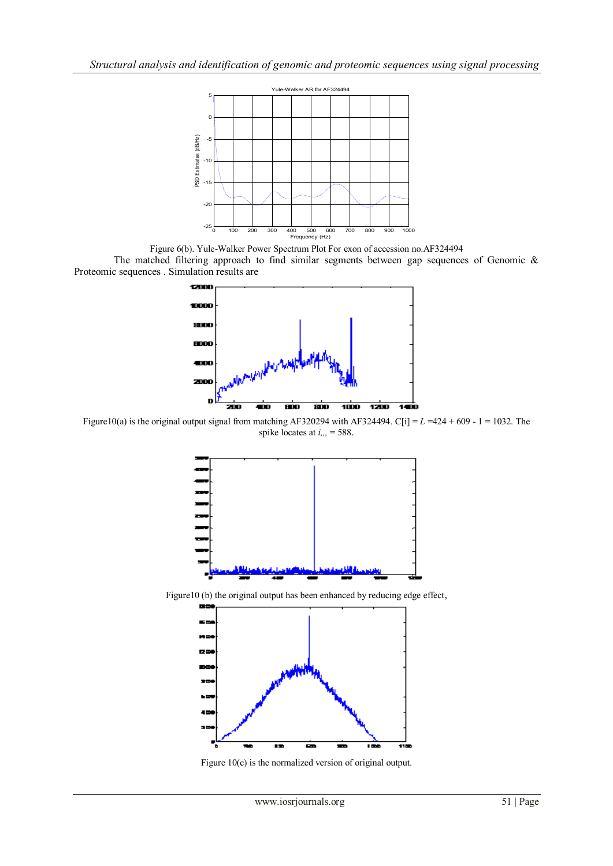

Figure 6(b). Yule-Walker Power Spectrum Plot For exon of accession no.AF324494 The matched filtering approach to find similar segments between gap sequences of Genomic & Proteomic sequences . Simulation results are



Figure10(a) is the original output signal from matching AF320294 with AF324494. C[i] =  $L = 424 + 609 - 1 = 1032$ . The spike locates at *i,,,* = 588.



Figure10 (b) the original output has been enhanced by reducing edge effect,



Figure 10(c) is the normalized version of original output.